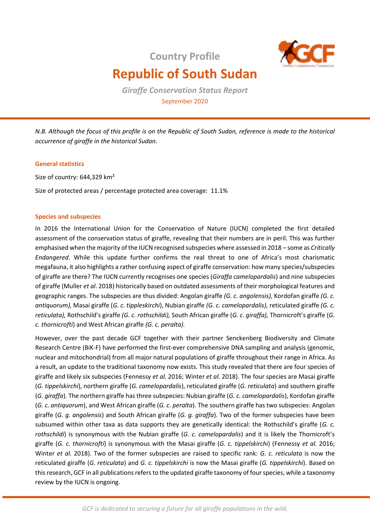**Country Profile**



# **Republic of South Sudan**

*Giraffe Conservation Status Report*  September 2020

*N.B. Although the focus of this profile is on the Republic of South Sudan, reference is made to the historical occurrence of giraffe in the historical Sudan.* 

## **General statistics**

Size of country: 644,329 km²

Size of protected areas / percentage protected area coverage: 11.1%

# **Species and subspecies**

In 2016 the International Union for the Conservation of Nature (IUCN) completed the first detailed assessment of the conservation status of giraffe, revealing that their numbers are in peril. This was further emphasised when the majority of the IUCN recognised subspecies where assessed in 2018 – some as *Critically Endangered*. While this update further confirms the real threat to one of Africa's most charismatic megafauna, it also highlights a rather confusing aspect of giraffe conservation: how many species/subspecies of giraffe are there? The IUCN currently recognises one species (*Giraffa camelopardalis*) and nine subspecies of giraffe (Muller *et al*. 2018) historically based on outdated assessments of their morphological features and geographic ranges. The subspecies are thus divided: Angolan giraffe *(G. c. angolensis),* Kordofan giraffe *(G. c. antiquorum),* Masai giraffe (*G. c. tippleskirchi*), Nubian giraffe *(G. c. camelopardalis),* reticulated giraffe *(G. c. reticulata),* Rothschild's giraffe *(G. c. rothschildi),* South African giraffe (*G. c*. *giraffa),* Thornicroft's giraffe (*G. c. thornicrofti*) and West African giraffe *(G. c. peralta).* 

However, over the past decade GCF together with their partner Senckenberg Biodiversity and Climate Research Centre (BiK-F) have performed the first-ever comprehensive DNA sampling and analysis (genomic, nuclear and mitochondrial) from all major natural populations of giraffe throughout their range in Africa. As a result, an update to the traditional taxonomy now exists. This study revealed that there are four species of giraffe and likely six subspecies (Fennessy *et al.* 2016; Winter *et al.* 2018). The four species are Masai giraffe (*G. tippelskirchi*), northern giraffe (*G. camelopardalis*), reticulated giraffe (*G. reticulata*) and southern giraffe (*G. giraffa*). The northern giraffe has three subspecies: Nubian giraffe (*G. c. camelopardalis*), Kordofan giraffe (*G. c. antiquorum*), and West African giraffe (*G. c. peralta*). The southern giraffe has two subspecies: Angolan giraffe (*G. g. angolensis*) and South African giraffe (*G. g. giraffa*). Two of the former subspecies have been subsumed within other taxa as data supports they are genetically identical: the Rothschild's giraffe (*G. c. rothschildi*) is synonymous with the Nubian giraffe (*G. c. camelopardalis*) and it is likely the Thornicroft's giraffe (*G. c. thornicrofti*) is synonymous with the Masai giraffe (*G. c. tippelskirchi*) (Fennessy *et al.* 2016; Winter *et al.* 2018). Two of the former subspecies are raised to specific rank: *G. c. reticulata* is now the reticulated giraffe (*G. reticulata*) and *G. c. tippelskirchi* is now the Masai giraffe (*G. tippelskirchi*). Based on this research, GCF in all publications refers to the updated giraffe taxonomy of four species, while a taxonomy review by the IUCN is ongoing.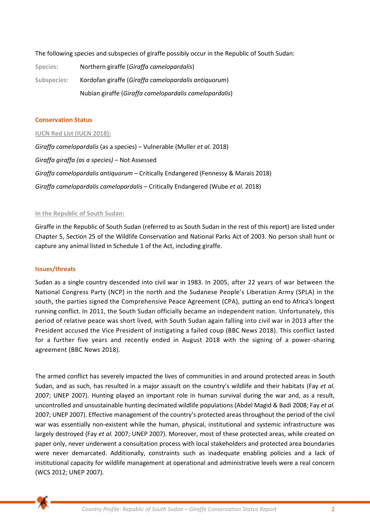The following species and subspecies of giraffe possibly occur in the Republic of South Sudan:

| Species:    | Northern giraffe (Giraffa camelopardalis)              |
|-------------|--------------------------------------------------------|
| Subspecies: | Kordofan giraffe (Giraffa camelopardalis antiquorum)   |
|             | Nubian giraffe (Giraffa camelopardalis camelopardalis) |

#### **Conservation Status**

#### **IUCN Red List (IUCN 2018):**

*Giraffa camelopardalis* (as a species) – Vulnerable (Muller *et al.* 2018) *Giraffa giraffa (as a species) –* Not Assessed *Giraffa camelopardalis antiquorum –* Critically Endangered (Fennessy & Marais 2018) *Giraffa camelopardalis camelopardalis* – Critically Endangered (Wube *et al.* 2018)

#### **In the Republic of South Sudan:**

Giraffe in the Republic of South Sudan (referred to as South Sudan in the rest of this report) are listed under Chapter 5, Section 25 of the Wildlife Conservation and National Parks Act of 2003. No person shall hunt or capture any animal listed in Schedule 1 of the Act, including giraffe.

#### **Issues/threats**

Sudan as a single country descended into civil war in 1983. In 2005, after 22 years of war between the National Congress Party (NCP) in the north and the Sudanese People's Liberation Army (SPLA) in the south, the parties signed the Comprehensive Peace Agreement (CPA), putting an end to Africa's longest running conflict. In 2011, the South Sudan officially became an independent nation. Unfortunately, this period of relative peace was short lived, with South Sudan again falling into civil war in 2013 after the President accused the Vice President of instigating a failed coup (BBC News 2018). This conflict lasted for a further five years and recently ended in August 2018 with the signing of a power-sharing agreement (BBC News 2018).

The armed conflict has severely impacted the lives of communities in and around protected areas in South Sudan, and as such, has resulted in a major assault on the country's wildlife and their habitats (Fay *et al.* 2007; UNEP 2007). Hunting played an important role in human survival during the war and, as a result, uncontrolled and unsustainable hunting decimated wildlife populations (Abdel Magid & Badi 2008; Fay *et al.* 2007; UNEP 2007). Effective management of the country's protected areas throughout the period of the civil war was essentially non-existent while the human, physical, institutional and systemic infrastructure was largely destroyed (Fay *et al.* 2007; UNEP 2007). Moreover, most of these protected areas, while created on paper only, never underwent a consultation process with local stakeholders and protected area boundaries were never demarcated. Additionally, constraints such as inadequate enabling policies and a lack of institutional capacity for wildlife management at operational and administrative levels were a real concern (WCS 2012; UNEP 2007).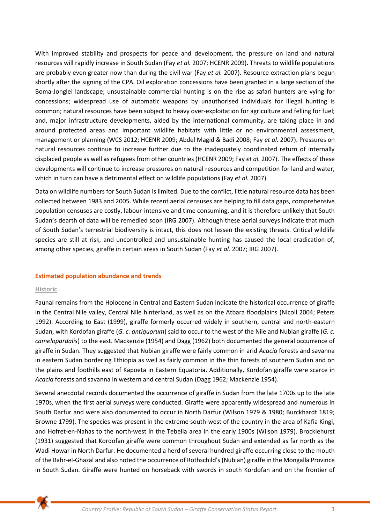With improved stability and prospects for peace and development, the pressure on land and natural resources will rapidly increase in South Sudan (Fay *et al.* 2007; HCENR 2009). Threats to wildlife populations are probably even greater now than during the civil war (Fay *et al.* 2007). Resource extraction plans begun shortly after the signing of the CPA. Oil exploration concessions have been granted in a large section of the Boma-Jonglei landscape; unsustainable commercial hunting is on the rise as safari hunters are vying for concessions; widespread use of automatic weapons by unauthorised individuals for illegal hunting is common; natural resources have been subject to heavy over-exploitation for agriculture and felling for fuel; and, major infrastructure developments, aided by the international community, are taking place in and around protected areas and important wildlife habitats with little or no environmental assessment, management or planning (WCS 2012; HCENR 2009; Abdel Magid & Badi 2008; Fay *et al.* 2007). Pressures on natural resources continue to increase further due to the inadequately coordinated return of internally displaced people as well as refugees from other countries (HCENR 2009; Fay *et al.* 2007). The effects of these developments will continue to increase pressures on natural resources and competition for land and water, which in turn can have a detrimental effect on wildlife populations (Fay *et al.* 2007).

Data on wildlife numbers for South Sudan is limited. Due to the conflict, little natural resource data has been collected between 1983 and 2005. While recent aerial censuses are helping to fill data gaps, comprehensive population censuses are costly, labour-intensive and time consuming, and it is therefore unlikely that South Sudan's dearth of data will be remedied soon (IRG 2007). Although these aerial surveys indicate that much of South Sudan's terrestrial biodiversity is intact, this does not lessen the existing threats. Critical wildlife species are still at risk, and uncontrolled and unsustainable hunting has caused the local eradication of, among other species, giraffe in certain areas in South Sudan (Fay *et al.* 2007; IRG 2007).

#### **Estimated population abundance and trends**

#### **Historic**

Faunal remains from the Holocene in Central and Eastern Sudan indicate the historical occurrence of giraffe in the Central Nile valley, Central Nile hinterland, as well as on the Atbara floodplains (Nicoll 2004; Peters 1992). According to East (1999), giraffe formerly occurred widely in southern, central and north-eastern Sudan, with Kordofan giraffe (*G. c. antiquorum*) said to occur to the west of the Nile and Nubian giraffe (*G. c. camelopardalis*) to the east. Mackenzie (1954) and Dagg (1962) both documented the general occurrence of giraffe in Sudan. They suggested that Nubian giraffe were fairly common in arid *Acacia* forests and savanna in eastern Sudan bordering Ethiopia as well as fairly common in the thin forests of southern Sudan and on the plains and foothills east of Kapoeta in Eastern Equatoria. Additionally, Kordofan giraffe were scarce in *Acacia* forests and savanna in western and central Sudan (Dagg 1962; Mackenzie 1954).

Several anecdotal records documented the occurrence of giraffe in Sudan from the late 1700s up to the late 1970s, when the first aerial surveys were conducted. Giraffe were apparently widespread and numerous in South Darfur and were also documented to occur in North Darfur (Wilson 1979 & 1980; Burckhardt 1819; Browne 1799). The species was present in the extreme south-west of the country in the area of Kafia Kingi, and Hofret-en-Nahas to the north-west in the Tebella area in the early 1900s (Wilson 1979). Brocklehurst (1931) suggested that Kordofan giraffe were common throughout Sudan and extended as far north as the Wadi Howar in North Darfur. He documented a herd of several hundred giraffe occurring close to the mouth of the Bahr-el-Ghazal and also noted the occurrence of Rothschild's (Nubian) giraffe in the Mongalla Province in South Sudan. Giraffe were hunted on horseback with swords in south Kordofan and on the frontier of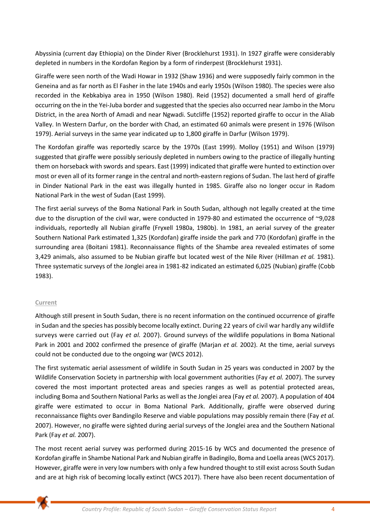Abyssinia (current day Ethiopia) on the Dinder River (Brocklehurst 1931). In 1927 giraffe were considerably depleted in numbers in the Kordofan Region by a form of rinderpest (Brocklehurst 1931).

Giraffe were seen north of the Wadi Howar in 1932 (Shaw 1936) and were supposedly fairly common in the Geneina and as far north as El Fasher in the late 1940s and early 1950s (Wilson 1980). The species were also recorded in the Kebkabiya area in 1950 (Wilson 1980). Reid (1952) documented a small herd of giraffe occurring on the in the Yei-Juba border and suggested that the species also occurred near Jambo in the Moru District, in the area North of Amadi and near Ngwadi. Sutcliffe (1952) reported giraffe to occur in the Aliab Valley. In Western Darfur, on the border with Chad, an estimated 60 animals were present in 1976 (Wilson 1979). Aerial surveys in the same year indicated up to 1,800 giraffe in Darfur (Wilson 1979).

The Kordofan giraffe was reportedly scarce by the 1970s (East 1999). Molloy (1951) and Wilson (1979) suggested that giraffe were possibly seriously depleted in numbers owing to the practice of illegally hunting them on horseback with swords and spears. East (1999) indicated that giraffe were hunted to extinction over most or even all of its former range in the central and north-eastern regions of Sudan. The last herd of giraffe in Dinder National Park in the east was illegally hunted in 1985. Giraffe also no longer occur in Radom National Park in the west of Sudan (East 1999).

The first aerial surveys of the Boma National Park in South Sudan, although not legally created at the time due to the disruption of the civil war, were conducted in 1979-80 and estimated the occurrence of ~9,028 individuals, reportedly all Nubian giraffe (Fryxell 1980a, 1980b). In 1981, an aerial survey of the greater Southern National Park estimated 1,325 (Kordofan) giraffe inside the park and 770 (Kordofan) giraffe in the surrounding area (Boitani 1981). Reconnaissance flights of the Shambe area revealed estimates of some 3,429 animals, also assumed to be Nubian giraffe but located west of the Nile River (Hillman *et al.* 1981). Three systematic surveys of the Jonglei area in 1981-82 indicated an estimated 6,025 (Nubian) giraffe (Cobb 1983).

# **Current**

Although still present in South Sudan, there is no recent information on the continued occurrence of giraffe in Sudan and the species has possibly become locally extinct. During 22 years of civil war hardly any wildlife surveys were carried out (Fay *et al.* 2007). Ground surveys of the wildlife populations in Boma National Park in 2001 and 2002 confirmed the presence of giraffe (Marjan *et al.* 2002). At the time, aerial surveys could not be conducted due to the ongoing war (WCS 2012).

The first systematic aerial assessment of wildlife in South Sudan in 25 years was conducted in 2007 by the Wildlife Conservation Society in partnership with local government authorities (Fay *et al.* 2007). The survey covered the most important protected areas and species ranges as well as potential protected areas, including Boma and Southern National Parks as well as the Jonglei area (Fay *et al.* 2007). A population of 404 giraffe were estimated to occur in Boma National Park. Additionally, giraffe were observed during reconnaissance flights over Bandingilo Reserve and viable populations may possibly remain there (Fay *et al.* 2007). However, no giraffe were sighted during aerial surveys of the Jonglei area and the Southern National Park (Fay *et al.* 2007).

The most recent aerial survey was performed during 2015-16 by WCS and documented the presence of Kordofan giraffe in Shambe National Park and Nubian giraffe in Badingilo, Boma and Loella areas (WCS 2017). However, giraffe were in very low numbers with only a few hundred thought to still exist across South Sudan and are at high risk of becoming locally extinct (WCS 2017). There have also been recent documentation of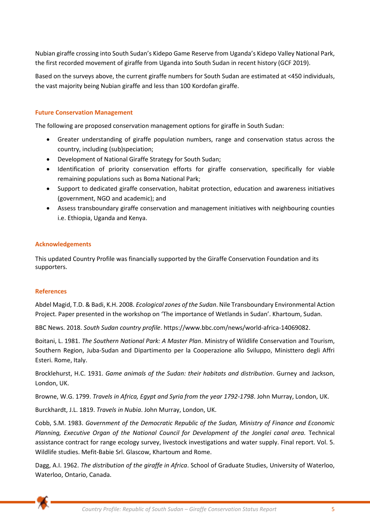Nubian giraffe crossing into South Sudan's Kidepo Game Reserve from Uganda's Kidepo Valley National Park, the first recorded movement of giraffe from Uganda into South Sudan in recent history (GCF 2019).

Based on the surveys above, the current giraffe numbers for South Sudan are estimated at <450 individuals, the vast majority being Nubian giraffe and less than 100 Kordofan giraffe.

### **Future Conservation Management**

The following are proposed conservation management options for giraffe in South Sudan:

- Greater understanding of giraffe population numbers, range and conservation status across the country, including (sub)speciation;
- Development of National Giraffe Strategy for South Sudan;
- Identification of priority conservation efforts for giraffe conservation, specifically for viable remaining populations such as Boma National Park;
- Support to dedicated giraffe conservation, habitat protection, education and awareness initiatives (government, NGO and academic); and
- Assess transboundary giraffe conservation and management initiatives with neighbouring counties i.e. Ethiopia, Uganda and Kenya.

#### **Acknowledgements**

This updated Country Profile was financially supported by the Giraffe Conservation Foundation and its supporters.

#### **References**

Abdel Magid, T.D. & Badi, K.H. 2008. *Ecological zones of the Sudan*. Nile Transboundary Environmental Action Project. Paper presented in the workshop on 'The importance of Wetlands in Sudan'. Khartoum, Sudan.

BBC News. 2018. *South Sudan country profile*. [https://www.bbc.com/news/world-africa-14069082.](https://www.bbc.com/news/world-africa-14069082)

Boitani, L. 1981. *The Southern National Park: A Master Plan*. Ministry of Wildlife Conservation and Tourism, Southern Region, Juba-Sudan and Dipartimento per la Cooperazione allo Sviluppo, Ministtero degli Affri Esteri. Rome, Italy.

Brocklehurst, H.C. 1931. *Game animals of the Sudan: their habitats and distribution*. Gurney and Jackson, London, UK.

Browne, W.G. 1799. *Travels in Africa, Egypt and Syria from the year 1792-1798*. John Murray, London, UK.

Burckhardt, J.L. 1819. *Travels in Nubia*. John Murray, London, UK.

Cobb, S.M. 1983. *Government of the Democratic Republic of the Sudan, Ministry of Finance and Economic Planning, Executive Organ of the National Council for Development of the Jonglei canal area.* Technical assistance contract for range ecology survey, livestock investigations and water supply. Final report. Vol. 5. Wildlife studies. Mefit-Babie Srl. Glascow, Khartoum and Rome.

Dagg, A.I. 1962. *The distribution of the giraffe in Africa*. School of Graduate Studies, University of Waterloo, Waterloo, Ontario, Canada.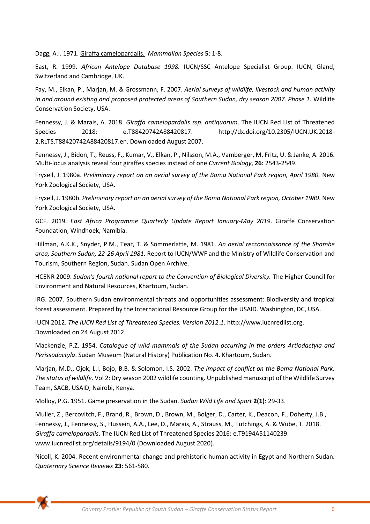Dagg, A.I. 1971. Giraffa camelopardalis. *Mammalian Species* **5**: 1-8.

East, R. 1999. *African Antelope Database 1998.* IUCN/SSC Antelope Specialist Group. IUCN, Gland, Switzerland and Cambridge, UK.

Fay, M., Elkan, P., Marjan, M. & Grossmann, F. 2007. *Aerial surveys of wildlife, livestock and human activity in and around existing and proposed protected areas of Southern Sudan, dry season 2007. Phase 1.* Wildlife Conservation Society, USA.

Fennessy, J. & Marais, A. 2018. *Giraffa camelopardalis ssp. antiquorum*. The IUCN Red List of Threatened Species 2018: e.T88420742A88420817. http://dx.doi.org/10.2305/IUCN.UK.2018- 2.RLTS.T88420742A88420817.en. Downloaded August 2007.

Fennessy, J., Bidon, T., Reuss, F., Kumar, V., Elkan, P., Nilsson, M.A., Vamberger, M. Fritz, U. & Janke, A. 2016. Multi-locus analysis reveal four giraffes species instead of one *Current Biology*, **26:** 2543-2549.

Fryxell, J. 1980a. *Preliminary report on an aerial survey of the Boma National Park region, April 1980.* New York Zoological Society, USA.

Fryxell, J. 1980b. *Preliminary report on an aerial survey of the Boma National Park region, October 1980*. New York Zoological Society, USA.

GCF. 2019. *East Africa Programme Quarterly Update Report January-May 2019*. Giraffe Conservation Foundation, Windhoek, Namibia.

Hillman, A.K.K., Snyder, P.M., Tear, T. & Sommerlatte, M. 1981. *An aerial recconnaissance of the Shambe area, Southern Sudan, 22-26 April 1981.* Report to IUCN/WWF and the Ministry of Wildlife Conservation and Tourism, Southern Region, Sudan. Sudan Open Archive.

HCENR 2009. *Sudan's fourth national report to the Convention of Biological Diversity.* The Higher Council for Environment and Natural Resources, Khartoum, Sudan.

IRG. 2007. Southern Sudan environmental threats and opportunities assessment: Biodiversity and tropical forest assessment. Prepared by the International Resource Group for the USAID. Washington, DC, USA.

IUCN 2012. *The IUCN Red List of Threatened Species. Version 2012.1*. http://www.iucnredlist.org. Downloaded on 24 August 2012.

Mackenzie, P.Z. 1954. *Catalogue of wild mammals of the Sudan occurring in the orders Artiodactyla and Perissodactyla*. Sudan Museum (Natural History) Publication No. 4. Khartoum, Sudan.

Marjan, M.D., Ojok, L.I, Bojo, B.B. & Solomon, I.S. 2002. *The impact of conflict on the Boma National Park: The status of wildlife.* Vol 2: Dry season 2002 wildlife counting. Unpublished manuscript of the Wildlife Survey Team, SACB, USAID, Nairobi, Kenya.

Molloy, P.G. 1951. Game preservation in the Sudan. *Sudan Wild Life and Sport* **2(1)**: 29-33.

Muller, Z., Bercovitch, F., Brand, R., Brown, D., Brown, M., Bolger, D., Carter, K., Deacon, F., Doherty, J.B., Fennessy, J., Fennessy, S., Hussein, A.A., Lee, D., Marais, A., Strauss, M., Tutchings, A. & Wube, T. 2018. *Giraffa camelopardalis*. The IUCN Red List of Threatened Species 2016: e.T9194A51140239. www.iucnredlist.org/details/9194/0 (Downloaded August 2020).

Nicoll, K. 2004. Recent environmental change and prehistoric human activity in Egypt and Northern Sudan. *Quaternary Science Reviews* **23**: 561-580.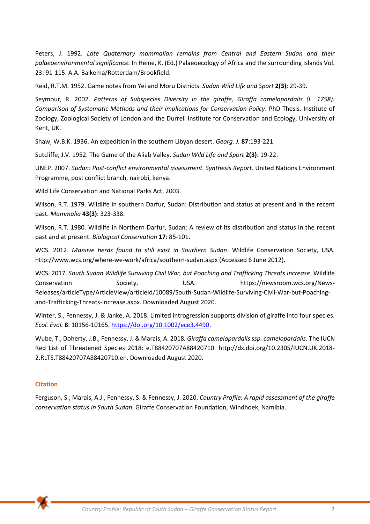Peters, J. 1992. *Late Quaternary mammalian remains from Central and Eastern Sudan and their palaeoenvironmental significance.* In Heine, K. (Ed.) Palaeoecology of Africa and the surrounding Islands Vol. 23: 91-115. A.A. Balkema/Rotterdam/Brookfield.

Reid, R.T.M. 1952. Game notes from Yei and Moru Districts. *Sudan Wild Life and Sport* **2(3)**: 29-39.

Seymour, R. 2002. *Patterns of Subspecies Diversity in the giraffe, Giraffa camelopardalis (L. 1758): Comparison of Systematic Methods and their implications for Conservation Policy*. PhD Thesis. Institute of Zoology, Zoological Society of London and the Durrell Institute for Conservation and Ecology, University of Kent, UK.

Shaw, W.B.K. 1936. An expedition in the southern Libyan desert. *Georg. J.* **87**:193-221.

Sutcliffe, J.V. 1952. The Game of the Aliab Valley. *Sudan Wild Life and Sport* **2(3)**: 19-22.

UNEP. 2007. *Sudan: Post-conflict environmental assessment. Synthesis Report*. United Nations Environment Programme, post conflict branch, nairobi, kenya.

Wild Life Conservation and National Parks Act, 2003.

Wilson, R.T. 1979. Wildlife in southern Darfur, Sudan: Distribution and status at present and in the recent past. *Mammalia* **43(3)**: 323-338.

Wilson, R.T. 1980. Wildlife in Northern Darfur, Sudan: A review of its distribution and status in the recent past and at present. *Biological Conservation* **17**: 85-101.

WCS. 2012. *Massive herds found to still exist in Southern Sudan*. Wildlife Conservation Society, USA. http://www.wcs.org/where-we-work/africa/southern-sudan.aspx (Accessed 6 June 2012).

WCS. 2017. *South Sudan Wildlife Surviving Civil War, but Poaching and Trafficking Threats Increase*. Wildlife Conservation Society, USA. [https://newsroom.wcs.org/News-](https://newsroom.wcs.org/News-Releases/articleType/ArticleView/articleId/10089/South-Sudan-Wildlife-Surviving-Civil-War-but-Poaching-and-Trafficking-Threats-Increase.aspx)[Releases/articleType/ArticleView/articleId/10089/South-Sudan-Wildlife-Surviving-Civil-War-but-Poaching](https://newsroom.wcs.org/News-Releases/articleType/ArticleView/articleId/10089/South-Sudan-Wildlife-Surviving-Civil-War-but-Poaching-and-Trafficking-Threats-Increase.aspx)[and-Trafficking-Threats-Increase.aspx.](https://newsroom.wcs.org/News-Releases/articleType/ArticleView/articleId/10089/South-Sudan-Wildlife-Surviving-Civil-War-but-Poaching-and-Trafficking-Threats-Increase.aspx) Downloaded August 2020.

Winter, S., Fennessy, J. & Janke, A. 2018. Limited introgression supports division of giraffe into four species. *Ecol. Evol.* **8**: 10156-10165. [https://doi.org/10.1002/ece3.4490.](https://doi.org/10.1002/ece3.4490)

Wube, T., Doherty, J.B., Fennessy, J. & Marais, A. 2018*. Giraffa camelopardalis ssp. camelopardalis*. The IUCN Red List of Threatened Species 2018: e.T88420707A88420710. http://dx.doi.org/10.2305/IUCN.UK.2018- 2.RLTS.T88420707A88420710.en. Downloaded August 2020.

#### **Citation**

Ferguson, S., Marais, A.J., Fennessy, S. & Fennessy, J. 2020. *Country Profile: A rapid assessment of the giraffe conservation status in South Sudan.* Giraffe Conservation Foundation, Windhoek, Namibia.